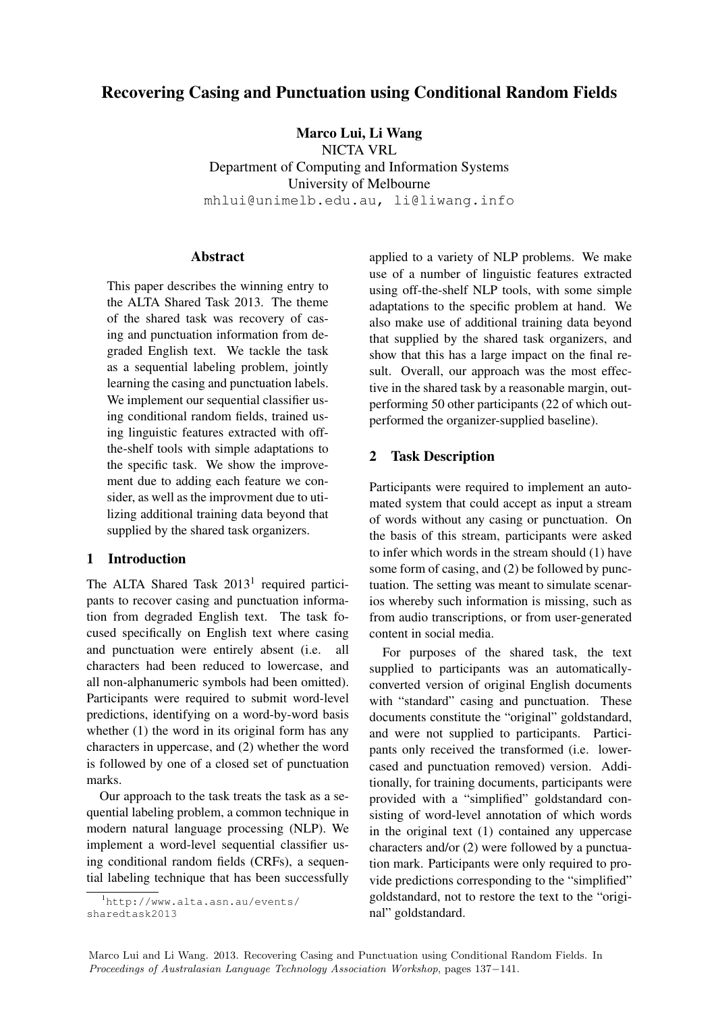# Recovering Casing and Punctuation using Conditional Random Fields

Marco Lui, Li Wang

NICTA VRL

Department of Computing and Information Systems University of Melbourne mhlui@unimelb.edu.au, li@liwang.info

#### Abstract

This paper describes the winning entry to the ALTA Shared Task 2013. The theme of the shared task was recovery of casing and punctuation information from degraded English text. We tackle the task as a sequential labeling problem, jointly learning the casing and punctuation labels. We implement our sequential classifier using conditional random fields, trained using linguistic features extracted with offthe-shelf tools with simple adaptations to the specific task. We show the improvement due to adding each feature we consider, as well as the improvment due to utilizing additional training data beyond that supplied by the shared task organizers.

#### 1 Introduction

The ALTA Shared Task 2013<sup>1</sup> required participants to recover casing and punctuation information from degraded English text. The task focused specifically on English text where casing and punctuation were entirely absent (i.e. all characters had been reduced to lowercase, and all non-alphanumeric symbols had been omitted). Participants were required to submit word-level predictions, identifying on a word-by-word basis whether (1) the word in its original form has any characters in uppercase, and (2) whether the word is followed by one of a closed set of punctuation marks.

Our approach to the task treats the task as a sequential labeling problem, a common technique in modern natural language processing (NLP). We implement a word-level sequential classifier using conditional random fields (CRFs), a sequential labeling technique that has been successfully applied to a variety of NLP problems. We make use of a number of linguistic features extracted using off-the-shelf NLP tools, with some simple adaptations to the specific problem at hand. We also make use of additional training data beyond that supplied by the shared task organizers, and show that this has a large impact on the final result. Overall, our approach was the most effective in the shared task by a reasonable margin, outperforming 50 other participants (22 of which outperformed the organizer-supplied baseline).

### 2 Task Description

Participants were required to implement an automated system that could accept as input a stream of words without any casing or punctuation. On the basis of this stream, participants were asked to infer which words in the stream should (1) have some form of casing, and (2) be followed by punctuation. The setting was meant to simulate scenarios whereby such information is missing, such as from audio transcriptions, or from user-generated content in social media.

For purposes of the shared task, the text supplied to participants was an automaticallyconverted version of original English documents with "standard" casing and punctuation. These documents constitute the "original" goldstandard, and were not supplied to participants. Participants only received the transformed (i.e. lowercased and punctuation removed) version. Additionally, for training documents, participants were provided with a "simplified" goldstandard consisting of word-level annotation of which words in the original text (1) contained any uppercase characters and/or (2) were followed by a punctuation mark. Participants were only required to provide predictions corresponding to the "simplified" goldstandard, not to restore the text to the "original" goldstandard.

<sup>1</sup>http://www.alta.asn.au/events/ sharedtask2013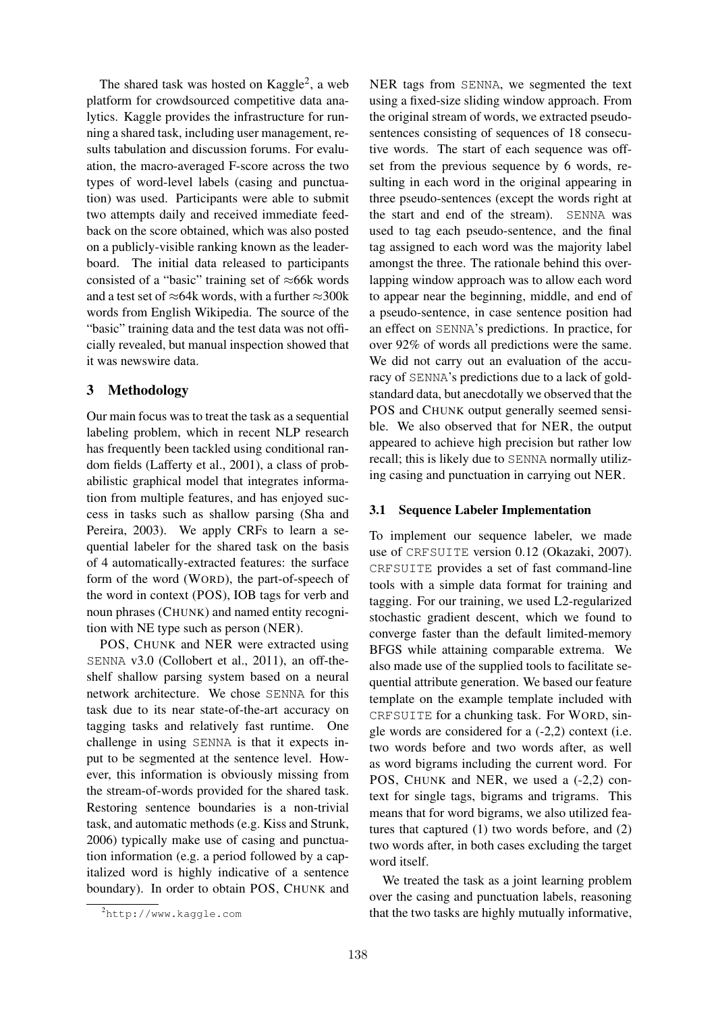The shared task was hosted on Kaggle<sup>2</sup>, a web platform for crowdsourced competitive data analytics. Kaggle provides the infrastructure for running a shared task, including user management, results tabulation and discussion forums. For evaluation, the macro-averaged F-score across the two types of word-level labels (casing and punctuation) was used. Participants were able to submit two attempts daily and received immediate feedback on the score obtained, which was also posted on a publicly-visible ranking known as the leaderboard. The initial data released to participants consisted of a "basic" training set of  $\approx$ 66k words and a test set of  $\approx$ 64k words, with a further  $\approx$ 300k words from English Wikipedia. The source of the "basic" training data and the test data was not officially revealed, but manual inspection showed that it was newswire data.

## 3 Methodology

Our main focus was to treat the task as a sequential labeling problem, which in recent NLP research has frequently been tackled using conditional random fields (Lafferty et al., 2001), a class of probabilistic graphical model that integrates information from multiple features, and has enjoyed success in tasks such as shallow parsing (Sha and Pereira, 2003). We apply CRFs to learn a sequential labeler for the shared task on the basis of 4 automatically-extracted features: the surface form of the word (WORD), the part-of-speech of the word in context (POS), IOB tags for verb and noun phrases (CHUNK) and named entity recognition with NE type such as person (NER).

POS, CHUNK and NER were extracted using SENNA v3.0 (Collobert et al., 2011), an off-theshelf shallow parsing system based on a neural network architecture. We chose SENNA for this task due to its near state-of-the-art accuracy on tagging tasks and relatively fast runtime. One challenge in using SENNA is that it expects input to be segmented at the sentence level. However, this information is obviously missing from the stream-of-words provided for the shared task. Restoring sentence boundaries is a non-trivial task, and automatic methods (e.g. Kiss and Strunk, 2006) typically make use of casing and punctuation information (e.g. a period followed by a capitalized word is highly indicative of a sentence boundary). In order to obtain POS, CHUNK and

NER tags from SENNA, we segmented the text using a fixed-size sliding window approach. From the original stream of words, we extracted pseudosentences consisting of sequences of 18 consecutive words. The start of each sequence was offset from the previous sequence by 6 words, resulting in each word in the original appearing in three pseudo-sentences (except the words right at the start and end of the stream). SENNA was used to tag each pseudo-sentence, and the final tag assigned to each word was the majority label amongst the three. The rationale behind this overlapping window approach was to allow each word to appear near the beginning, middle, and end of a pseudo-sentence, in case sentence position had an effect on SENNA's predictions. In practice, for over 92% of words all predictions were the same. We did not carry out an evaluation of the accuracy of SENNA's predictions due to a lack of goldstandard data, but anecdotally we observed that the POS and CHUNK output generally seemed sensible. We also observed that for NER, the output appeared to achieve high precision but rather low recall; this is likely due to SENNA normally utilizing casing and punctuation in carrying out NER.

#### 3.1 Sequence Labeler Implementation

To implement our sequence labeler, we made use of CRFSUITE version 0.12 (Okazaki, 2007). CRFSUITE provides a set of fast command-line tools with a simple data format for training and tagging. For our training, we used L2-regularized stochastic gradient descent, which we found to converge faster than the default limited-memory BFGS while attaining comparable extrema. We also made use of the supplied tools to facilitate sequential attribute generation. We based our feature template on the example template included with CRFSUITE for a chunking task. For WORD, single words are considered for a (-2,2) context (i.e. two words before and two words after, as well as word bigrams including the current word. For POS, CHUNK and NER, we used a  $(-2,2)$  context for single tags, bigrams and trigrams. This means that for word bigrams, we also utilized features that captured (1) two words before, and (2) two words after, in both cases excluding the target word itself.

We treated the task as a joint learning problem over the casing and punctuation labels, reasoning that the two tasks are highly mutually informative,

<sup>2</sup>http://www.kaggle.com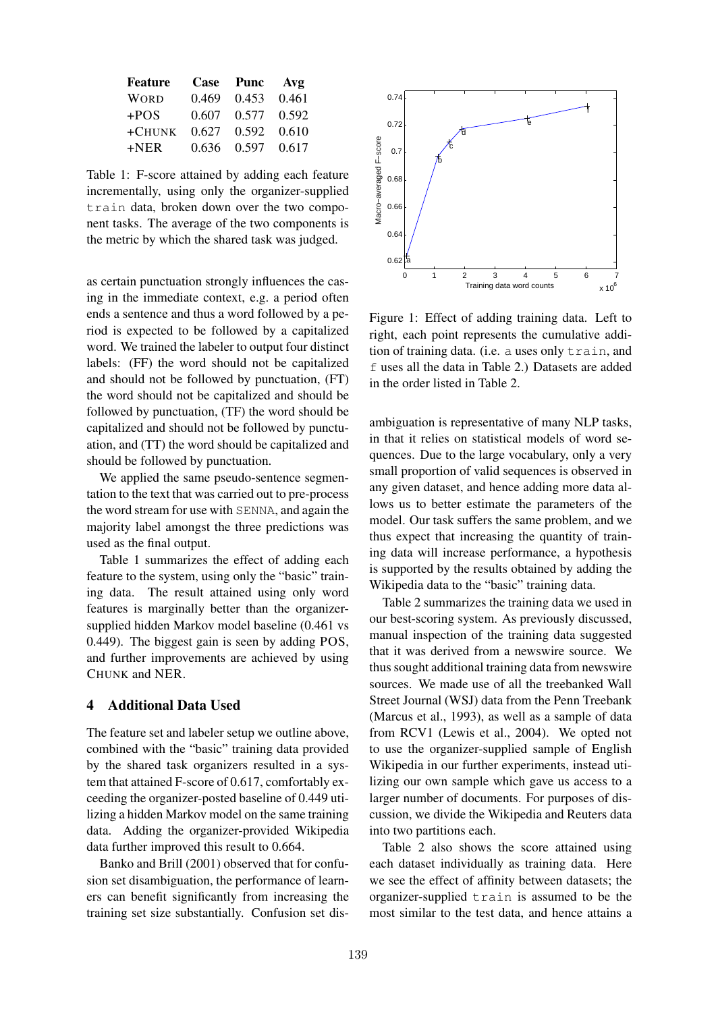| Feature     |       | Case Punc | Avg   |
|-------------|-------|-----------|-------|
| <b>WORD</b> | 0.469 | 0.453     | 0.461 |
| $+POS$      | 0.607 | 0.577     | 0.592 |
| $+$ CHUNK   | 0.627 | 0.592     | 0.610 |
| $+NER$      | 0.636 | 0.597     | 0.617 |

Table 1: F-score attained by adding each feature incrementally, using only the organizer-supplied train data, broken down over the two component tasks. The average of the two components is the metric by which the shared task was judged.

as certain punctuation strongly influences the casing in the immediate context, e.g. a period often ends a sentence and thus a word followed by a period is expected to be followed by a capitalized word. We trained the labeler to output four distinct labels: (FF) the word should not be capitalized and should not be followed by punctuation, (FT) the word should not be capitalized and should be followed by punctuation, (TF) the word should be capitalized and should not be followed by punctuation, and (TT) the word should be capitalized and should be followed by punctuation.

We applied the same pseudo-sentence segmentation to the text that was carried out to pre-process the word stream for use with SENNA, and again the majority label amongst the three predictions was used as the final output.

Table 1 summarizes the effect of adding each feature to the system, using only the "basic" training data. The result attained using only word features is marginally better than the organizersupplied hidden Markov model baseline (0.461 vs 0.449). The biggest gain is seen by adding POS, and further improvements are achieved by using CHUNK and NER.

### 4 Additional Data Used

The feature set and labeler setup we outline above, combined with the "basic" training data provided by the shared task organizers resulted in a system that attained F-score of 0.617, comfortably exceeding the organizer-posted baseline of 0.449 utilizing a hidden Markov model on the same training data. Adding the organizer-provided Wikipedia data further improved this result to 0.664.

Banko and Brill (2001) observed that for confusion set disambiguation, the performance of learners can benefit significantly from increasing the training set size substantially. Confusion set dis-



Figure 1: Effect of adding training data. Left to right, each point represents the cumulative addition of training data. (i.e. a uses only train, and f uses all the data in Table 2.) Datasets are added in the order listed in Table 2.

ambiguation is representative of many NLP tasks, in that it relies on statistical models of word sequences. Due to the large vocabulary, only a very small proportion of valid sequences is observed in any given dataset, and hence adding more data allows us to better estimate the parameters of the model. Our task suffers the same problem, and we thus expect that increasing the quantity of training data will increase performance, a hypothesis is supported by the results obtained by adding the Wikipedia data to the "basic" training data.

Table 2 summarizes the training data we used in our best-scoring system. As previously discussed, manual inspection of the training data suggested that it was derived from a newswire source. We thus sought additional training data from newswire sources. We made use of all the treebanked Wall Street Journal (WSJ) data from the Penn Treebank (Marcus et al., 1993), as well as a sample of data from RCV1 (Lewis et al., 2004). We opted not to use the organizer-supplied sample of English Wikipedia in our further experiments, instead utilizing our own sample which gave us access to a larger number of documents. For purposes of discussion, we divide the Wikipedia and Reuters data into two partitions each.

Table 2 also shows the score attained using each dataset individually as training data. Here we see the effect of affinity between datasets; the organizer-supplied train is assumed to be the most similar to the test data, and hence attains a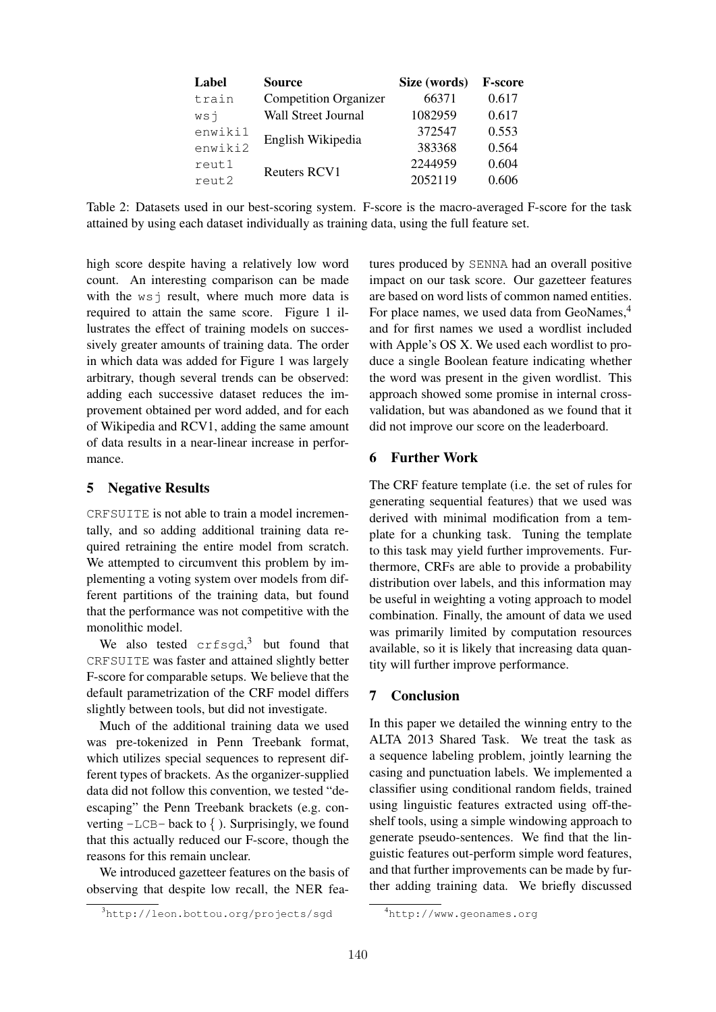| Label   | Source                       | Size (words) | <b>F-score</b> |
|---------|------------------------------|--------------|----------------|
| train   | <b>Competition Organizer</b> | 66371        | 0.617          |
| WST     | Wall Street Journal          | 1082959      | 0.617          |
| enwikil |                              | 372547       | 0.553          |
| enwiki2 | English Wikipedia            | 383368       | 0.564          |
| reut1   | <b>Reuters RCV1</b>          | 2244959      | 0.604          |
| reut2   |                              | 2052119      | 0.606          |

Table 2: Datasets used in our best-scoring system. F-score is the macro-averaged F-score for the task attained by using each dataset individually as training data, using the full feature set.

high score despite having a relatively low word count. An interesting comparison can be made with the  $ws$  j result, where much more data is required to attain the same score. Figure 1 illustrates the effect of training models on successively greater amounts of training data. The order in which data was added for Figure 1 was largely arbitrary, though several trends can be observed: adding each successive dataset reduces the improvement obtained per word added, and for each of Wikipedia and RCV1, adding the same amount of data results in a near-linear increase in performance.

#### 5 Negative Results

CRFSUITE is not able to train a model incrementally, and so adding additional training data required retraining the entire model from scratch. We attempted to circumvent this problem by implementing a voting system over models from different partitions of the training data, but found that the performance was not competitive with the monolithic model.

We also tested  $\text{crfsgd}$ <sup>3</sup> but found that CRFSUITE was faster and attained slightly better F-score for comparable setups. We believe that the default parametrization of the CRF model differs slightly between tools, but did not investigate.

Much of the additional training data we used was pre-tokenized in Penn Treebank format, which utilizes special sequences to represent different types of brackets. As the organizer-supplied data did not follow this convention, we tested "deescaping" the Penn Treebank brackets (e.g. converting  $-LCB-$  back to  $\{ \}$ . Surprisingly, we found that this actually reduced our F-score, though the reasons for this remain unclear.

We introduced gazetteer features on the basis of observing that despite low recall, the NER features produced by SENNA had an overall positive impact on our task score. Our gazetteer features are based on word lists of common named entities. For place names, we used data from GeoNames.<sup>4</sup> and for first names we used a wordlist included with Apple's OS X. We used each wordlist to produce a single Boolean feature indicating whether the word was present in the given wordlist. This approach showed some promise in internal crossvalidation, but was abandoned as we found that it did not improve our score on the leaderboard.

#### 6 Further Work

The CRF feature template (i.e. the set of rules for generating sequential features) that we used was derived with minimal modification from a template for a chunking task. Tuning the template to this task may yield further improvements. Furthermore, CRFs are able to provide a probability distribution over labels, and this information may be useful in weighting a voting approach to model combination. Finally, the amount of data we used was primarily limited by computation resources available, so it is likely that increasing data quantity will further improve performance.

#### 7 Conclusion

In this paper we detailed the winning entry to the ALTA 2013 Shared Task. We treat the task as a sequence labeling problem, jointly learning the casing and punctuation labels. We implemented a classifier using conditional random fields, trained using linguistic features extracted using off-theshelf tools, using a simple windowing approach to generate pseudo-sentences. We find that the linguistic features out-perform simple word features, and that further improvements can be made by further adding training data. We briefly discussed

<sup>3</sup>http://leon.bottou.org/projects/sgd

<sup>4</sup>http://www.geonames.org